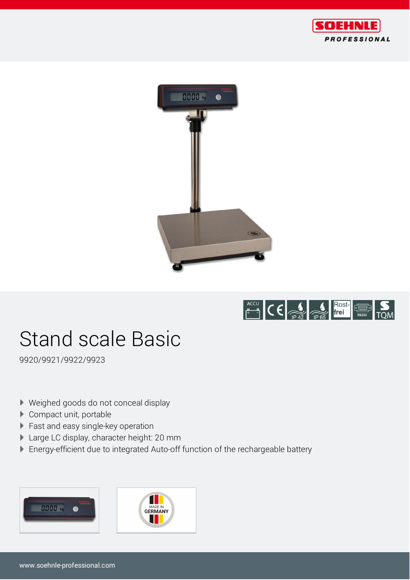





# Stand scale Basic

9920/9921/9922/9923

- Weighed goods do not conceal display
- Compact unit, portable
- **Fast and easy single-key operation**
- Large LC display, character height: 20 mm
- Energy-efficient due to integrated Auto-off function of the rechargeable battery



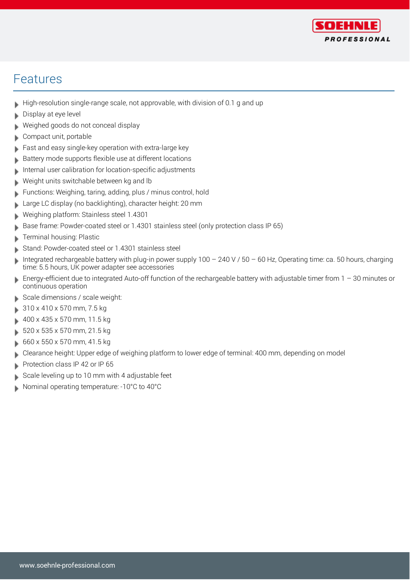

#### Features

- High-resolution single-range scale, not approvable, with division of 0.1 g and up
- Display at eye level
- Weighed goods do not conceal display
- Compact unit, portable
- Fast and easy single-key operation with extra-large key
- Battery mode supports flexible use at different locations
- Internal user calibration for location-specific adjustments
- Weight units switchable between kg and lb
- Functions: Weighing, taring, adding, plus / minus control, hold
- Large LC display (no backlighting), character height: 20 mm
- Weighing platform: Stainless steel 1.4301
- Base frame: Powder-coated steel or 1.4301 stainless steel (only protection class IP 65)
- Terminal housing: Plastic
- Stand: Powder-coated steel or 1.4301 stainless steel
- Integrated rechargeable battery with plug-in power supply 100 240 V / 50 60 Hz, Operating time: ca. 50 hours, charging time: 5.5 hours, UK power adapter see accessories
- Energy-efficient due to integrated Auto-off function of the rechargeable battery with adjustable timer from  $1 30$  minutes or continuous operation
- Scale dimensions / scale weight:
- 310 x 410 x 570 mm, 7.5 kg
- 400 x 435 x 570 mm, 11.5 kg
- 520 x 535 x 570 mm, 21.5 kg
- 660 x 550 x 570 mm, 41.5 kg
- Clearance height: Upper edge of weighing platform to lower edge of terminal: 400 mm, depending on model
- Protection class IP 42 or IP 65
- Scale leveling up to 10 mm with 4 adjustable feet
- Nominal operating temperature: -10°C to 40°C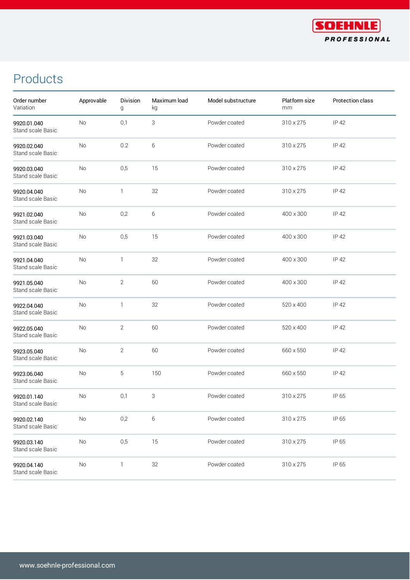

## Products

| Order number<br>Variation        | Approvable | Division<br>g  | Maximum load<br>kg | Model substructure | Platform size<br>mm | Protection class |
|----------------------------------|------------|----------------|--------------------|--------------------|---------------------|------------------|
| 9920.01.040<br>Stand scale Basic | No         | 0,1            | 3                  | Powder coated      | 310 x 275           | IP 42            |
| 9920.02.040<br>Stand scale Basic | No         | 0.2            | 6                  | Powder coated      | 310 x 275           | IP 42            |
| 9920.03.040<br>Stand scale Basic | No         | 0,5            | 15                 | Powder coated      | 310 x 275           | IP 42            |
| 9920.04.040<br>Stand scale Basic | No         | 1              | 32                 | Powder coated      | 310 x 275           | IP 42            |
| 9921.02.040<br>Stand scale Basic | No         | 0,2            | 6                  | Powder coated      | 400 x 300           | IP 42            |
| 9921.03.040<br>Stand scale Basic | No         | 0,5            | 15                 | Powder coated      | 400 x 300           | IP 42            |
| 9921.04.040<br>Stand scale Basic | No         | $\mathbb{1}$   | 32                 | Powder coated      | 400 x 300           | IP 42            |
| 9921.05.040<br>Stand scale Basic | No         | $\mathbf{2}$   | 60                 | Powder coated      | 400 x 300           | IP 42            |
| 9922.04.040<br>Stand scale Basic | No         | $\mathbb{1}$   | 32                 | Powder coated      | 520 x 400           | IP 42            |
| 9922.05.040<br>Stand scale Basic | No         | $\mathbf{2}$   | 60                 | Powder coated      | 520 x 400           | IP 42            |
| 9923.05.040<br>Stand scale Basic | No         | $\overline{2}$ | 60                 | Powder coated      | 660 x 550           | IP 42            |
| 9923.06.040<br>Stand scale Basic | No         | 5              | 150                | Powder coated      | 660 x 550           | IP 42            |
| 9920.01.140<br>Stand scale Basic | No         | 0,1            | 3                  | Powder coated      | 310 x 275           | IP 65            |
| 9920.02.140<br>Stand scale Basic | No         | 0,2            | $\,$ 6 $\,$        | Powder coated      | 310 x 275           | IP 65            |
| 9920.03.140<br>Stand scale Basic | $\rm No$   | 0,5            | 15                 | Powder coated      | 310 x 275           | IP 65            |
| 9920.04.140<br>Stand scale Basic | No         | $\mathbb{1}$   | 32                 | Powder coated      | 310 x 275           | IP 65            |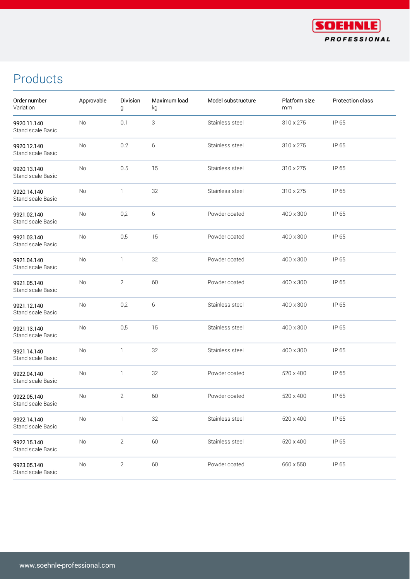

## Products

| Order number<br>Variation        | Approvable | Division<br>g  | Maximum load<br>kg | Model substructure | Platform size<br>mm | Protection class |
|----------------------------------|------------|----------------|--------------------|--------------------|---------------------|------------------|
| 9920.11.140<br>Stand scale Basic | No         | 0.1            | 3                  | Stainless steel    | 310 x 275           | IP 65            |
| 9920.12.140<br>Stand scale Basic | No         | 0.2            | 6                  | Stainless steel    | 310 x 275           | IP 65            |
| 9920.13.140<br>Stand scale Basic | No         | 0.5            | 15                 | Stainless steel    | 310 x 275           | IP 65            |
| 9920.14.140<br>Stand scale Basic | No         | 1              | 32                 | Stainless steel    | 310 x 275           | IP 65            |
| 9921.02.140<br>Stand scale Basic | No         | 0,2            | 6                  | Powder coated      | 400 x 300           | IP 65            |
| 9921.03.140<br>Stand scale Basic | No         | 0,5            | 15                 | Powder coated      | 400 x 300           | IP 65            |
| 9921.04.140<br>Stand scale Basic | No         | 1              | 32                 | Powder coated      | 400 x 300           | IP 65            |
| 9921.05.140<br>Stand scale Basic | No         | 2              | 60                 | Powder coated      | 400 x 300           | IP 65            |
| 9921.12.140<br>Stand scale Basic | No         | 0,2            | 6                  | Stainless steel    | 400 x 300           | IP 65            |
| 9921.13.140<br>Stand scale Basic | No         | 0,5            | 15                 | Stainless steel    | 400 x 300           | IP 65            |
| 9921.14.140<br>Stand scale Basic | No         | 1              | 32                 | Stainless steel    | 400 x 300           | IP 65            |
| 9922.04.140<br>Stand scale Basic | No         | 1              | 32                 | Powder coated      | 520 x 400           | IP 65            |
| 9922.05.140<br>Stand scale Basic | No         | $\overline{2}$ | 60                 | Powder coated      | 520 x 400           | IP 65            |
| 9922.14.140<br>Stand scale Basic | No         | 1              | 32                 | Stainless steel    | 520 x 400           | IP 65            |
| 9922.15.140<br>Stand scale Basic | No         | $\mathbf{2}$   | 60                 | Stainless steel    | 520 x 400           | IP 65            |
| 9923.05.140<br>Stand scale Basic | No         | $\overline{c}$ | 60                 | Powder coated      | 660 x 550           | IP 65            |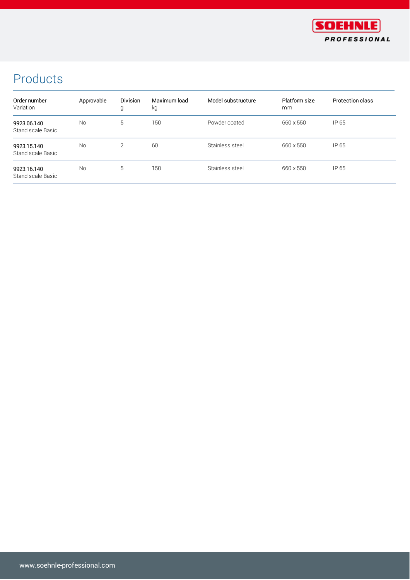

## Products

| Order number<br>Variation        | Approvable | <b>Division</b><br>g | Maximum load<br>kg | Model substructure | Platform size<br>mm | Protection class |
|----------------------------------|------------|----------------------|--------------------|--------------------|---------------------|------------------|
| 9923.06.140<br>Stand scale Basic | <b>No</b>  | 5                    | 150                | Powder coated      | 660 x 550           | IP 65            |
| 9923.15.140<br>Stand scale Basic | <b>No</b>  | 2                    | 60                 | Stainless steel    | 660 x 550           | IP 65            |
| 9923.16.140<br>Stand scale Basic | <b>No</b>  | 5                    | 150                | Stainless steel    | 660 x 550           | IP 65            |